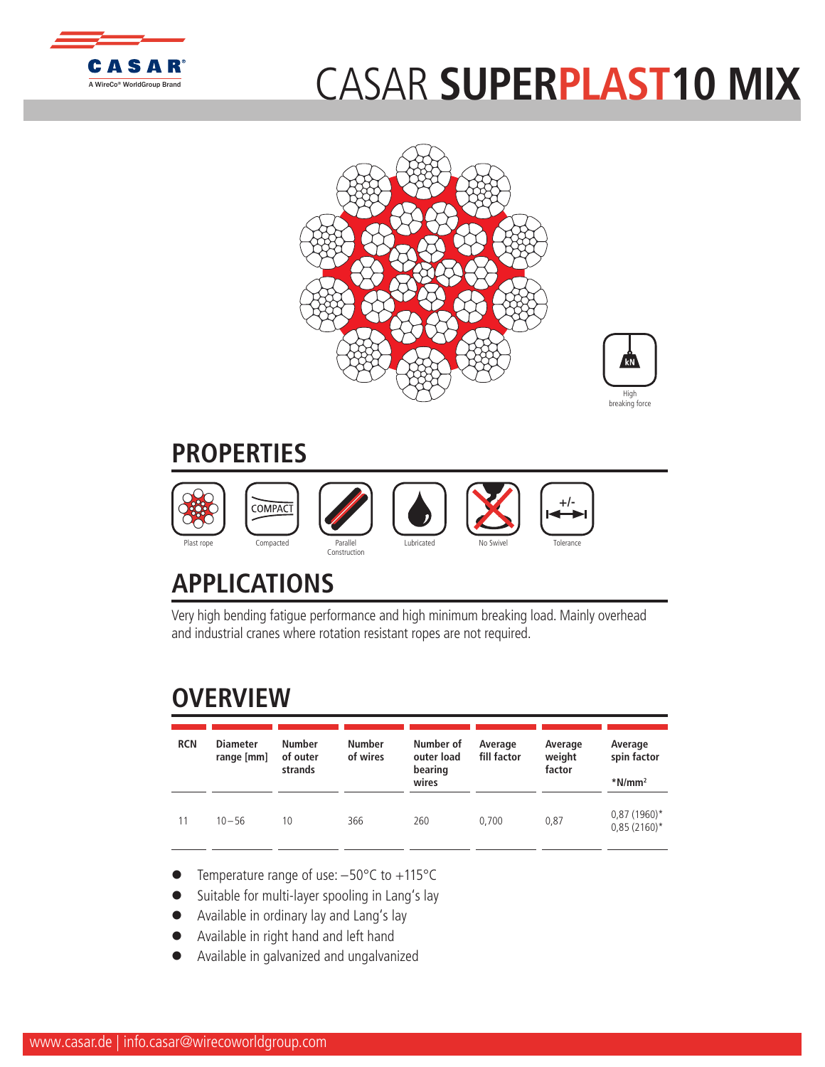

## CASAR **SUPERPLAST10 MIX**





## **PROPERTIES**



## **APPLICATIONS**

Very high bending fatigue performance and high minimum breaking load. Mainly overhead and industrial cranes where rotation resistant ropes are not required.

## **OVERVIEW**

| <b>RCN</b> | <b>Diameter</b><br>range [mm] | <b>Number</b><br>of outer<br>strands | <b>Number</b><br>of wires | Number of<br>outer load<br>bearing<br>wires | Average<br>fill factor | Average<br>weight<br>factor | Average<br>spin factor<br>$*$ N/mm <sup>2</sup> |
|------------|-------------------------------|--------------------------------------|---------------------------|---------------------------------------------|------------------------|-----------------------------|-------------------------------------------------|
| 11         | $10 - 56$                     | 10                                   | 366                       | 260                                         | 0.700                  | 0,87                        | $0,87(1960)$ *<br>$0,85(2160)^*$                |

- Temperature range of use:  $-50^{\circ}$ C to  $+115^{\circ}$ C
- Suitable for multi-layer spooling in Lang's lay
- Available in ordinary lay and Lang's lay
- l Available in right hand and left hand
- l Available in galvanized and ungalvanized